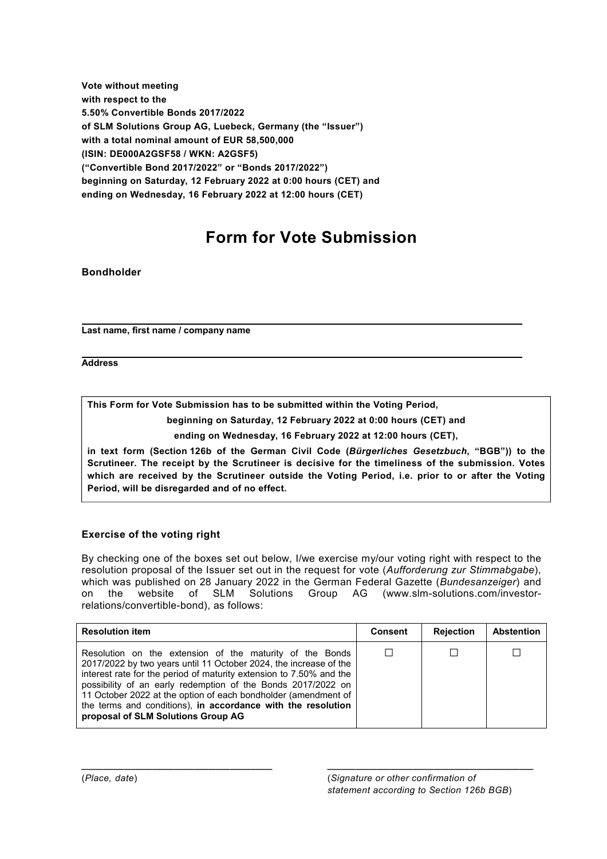**Vote without meeting with respect to the 5.50% Convertible Bonds 2017/2022 of SLM Solutions Group AG, Luebeck, Germany (the "Issuer") with a total nominal amount of EUR 58,500,000 (ISIN: DE000A2GSF58 / WKN: A2GSF5) ("Convertible Bond 2017/2022" or "Bonds 2017/2022") beginning on Saturday, 12 February 2022 at 0:00 hours (CET) and ending on Wednesday, 16 February 2022 at 12:00 hours (CET)** 

# **Form for Vote Submission**

## **Bondholder**

 **Last name, first name / company name** 

**Address** 

**This Form for Vote Submission has to be submitted within the Voting Period,** 

**beginning on Saturday, 12 February 2022 at 0:00 hours (CET) and**

**ending on Wednesday, 16 February 2022 at 12:00 hours (CET),** 

**in text form (Section 126b of the German Civil Code (***Bürgerliches Gesetzbuch***, "BGB")) to the Scrutineer. The receipt by the Scrutineer is decisive for the timeliness of the submission. Votes which are received by the Scrutineer outside the Voting Period, i.e. prior to or after the Voting Period, will be disregarded and of no effect.**

## **Exercise of the voting right**

By checking one of the boxes set out below, I/we exercise my/our voting right with respect to the resolution proposal of the Issuer set out in the request for vote (*Aufforderung zur Stimmabgabe*), which was published on 28 January 2022 in the German Federal Gazette (*Bundesanzeiger*) and on the website of SLM Solutions Group AG (www.slm-solutions.com/investorrelations/convertible-bond), as follows:

| <b>Resolution item</b>                                                                                                                                                                                                                                                                                                                                                                                                                       | <b>Consent</b> | <b>Rejection</b> | <b>Abstention</b> |
|----------------------------------------------------------------------------------------------------------------------------------------------------------------------------------------------------------------------------------------------------------------------------------------------------------------------------------------------------------------------------------------------------------------------------------------------|----------------|------------------|-------------------|
| Resolution on the extension of the maturity of the Bonds<br>2017/2022 by two years until 11 October 2024, the increase of the<br>interest rate for the period of maturity extension to 7.50% and the<br>possibility of an early redemption of the Bonds 2017/2022 on<br>11 October 2022 at the option of each bondholder (amendment of<br>the terms and conditions), in accordance with the resolution<br>proposal of SLM Solutions Group AG |                |                  |                   |

 $\mathcal{L}_\text{max}$  , and the contribution of the contribution of the contribution of the contribution of the contribution of the contribution of the contribution of the contribution of the contribution of the contribution of t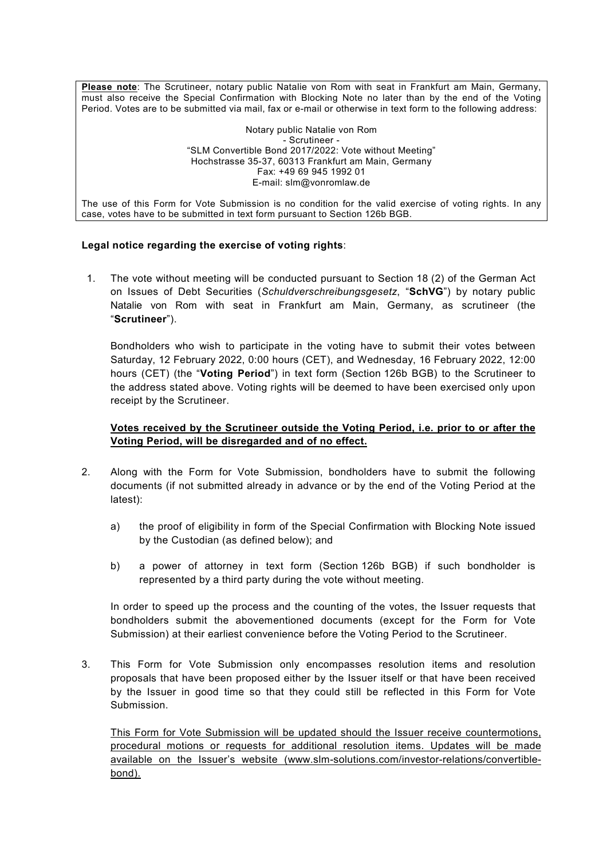**Please note**: The Scrutineer, notary public Natalie von Rom with seat in Frankfurt am Main, Germany, must also receive the Special Confirmation with Blocking Note no later than by the end of the Voting Period. Votes are to be submitted via mail, fax or e-mail or otherwise in text form to the following address:

> Notary public Natalie von Rom - Scrutineer - "SLM Convertible Bond 2017/2022: Vote without Meeting" Hochstrasse 35-37, 60313 Frankfurt am Main, Germany Fax: +49 69 945 1992 01 E-mail: slm@vonromlaw.de

The use of this Form for Vote Submission is no condition for the valid exercise of voting rights. In any case, votes have to be submitted in text form pursuant to Section 126b BGB.

#### **Legal notice regarding the exercise of voting rights**:

1. The vote without meeting will be conducted pursuant to Section 18 (2) of the German Act on Issues of Debt Securities (*Schuldverschreibungsgesetz*, "**SchVG**") by notary public Natalie von Rom with seat in Frankfurt am Main, Germany, as scrutineer (the "**Scrutineer**").

Bondholders who wish to participate in the voting have to submit their votes between Saturday, 12 February 2022, 0:00 hours (CET), and Wednesday, 16 February 2022, 12:00 hours (CET) (the "**Voting Period**") in text form (Section 126b BGB) to the Scrutineer to the address stated above. Voting rights will be deemed to have been exercised only upon receipt by the Scrutineer.

#### **Votes received by the Scrutineer outside the Voting Period, i.e. prior to or after the Voting Period, will be disregarded and of no effect.**

- 2. Along with the Form for Vote Submission, bondholders have to submit the following documents (if not submitted already in advance or by the end of the Voting Period at the latest):
	- a) the proof of eligibility in form of the Special Confirmation with Blocking Note issued by the Custodian (as defined below); and
	- b) a power of attorney in text form (Section 126b BGB) if such bondholder is represented by a third party during the vote without meeting.

In order to speed up the process and the counting of the votes, the Issuer requests that bondholders submit the abovementioned documents (except for the Form for Vote Submission) at their earliest convenience before the Voting Period to the Scrutineer.

3. This Form for Vote Submission only encompasses resolution items and resolution proposals that have been proposed either by the Issuer itself or that have been received by the Issuer in good time so that they could still be reflected in this Form for Vote Submission.

This Form for Vote Submission will be updated should the Issuer receive countermotions, procedural motions or requests for additional resolution items. Updates will be made available on the Issuer's website (www.slm-solutions.com/investor-relations/convertiblebond).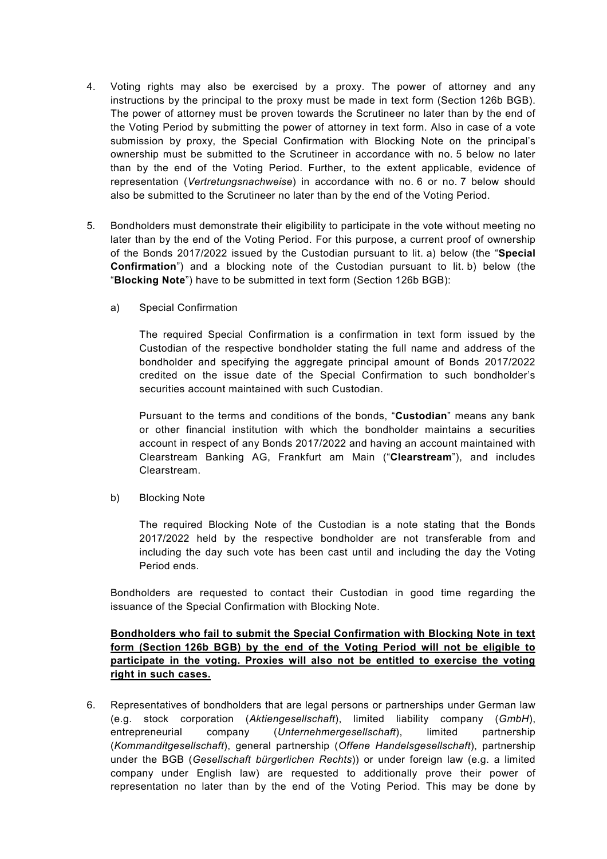- 4. Voting rights may also be exercised by a proxy. The power of attorney and any instructions by the principal to the proxy must be made in text form (Section 126b BGB). The power of attorney must be proven towards the Scrutineer no later than by the end of the Voting Period by submitting the power of attorney in text form. Also in case of a vote submission by proxy, the Special Confirmation with Blocking Note on the principal's ownership must be submitted to the Scrutineer in accordance with no. 5 below no later than by the end of the Voting Period. Further, to the extent applicable, evidence of representation (*Vertretungsnachweise*) in accordance with no. 6 or no. 7 below should also be submitted to the Scrutineer no later than by the end of the Voting Period.
- 5. Bondholders must demonstrate their eligibility to participate in the vote without meeting no later than by the end of the Voting Period. For this purpose, a current proof of ownership of the Bonds 2017/2022 issued by the Custodian pursuant to lit. a) below (the "**Special Confirmation**") and a blocking note of the Custodian pursuant to lit. b) below (the "**Blocking Note**") have to be submitted in text form (Section 126b BGB):
	- a) Special Confirmation

The required Special Confirmation is a confirmation in text form issued by the Custodian of the respective bondholder stating the full name and address of the bondholder and specifying the aggregate principal amount of Bonds 2017/2022 credited on the issue date of the Special Confirmation to such bondholder's securities account maintained with such Custodian.

Pursuant to the terms and conditions of the bonds, "**Custodian**" means any bank or other financial institution with which the bondholder maintains a securities account in respect of any Bonds 2017/2022 and having an account maintained with Clearstream Banking AG, Frankfurt am Main ("**Clearstream**"), and includes Clearstream.

b) Blocking Note

The required Blocking Note of the Custodian is a note stating that the Bonds 2017/2022 held by the respective bondholder are not transferable from and including the day such vote has been cast until and including the day the Voting Period ends.

Bondholders are requested to contact their Custodian in good time regarding the issuance of the Special Confirmation with Blocking Note.

### **Bondholders who fail to submit the Special Confirmation with Blocking Note in text form (Section 126b BGB) by the end of the Voting Period will not be eligible to participate in the voting. Proxies will also not be entitled to exercise the voting right in such cases.**

6. Representatives of bondholders that are legal persons or partnerships under German law (e.g. stock corporation (*Aktiengesellschaft*), limited liability company (*GmbH*), entrepreneurial company (*Unternehmergesellschaft*), limited partnership (*Kommanditgesellschaft*), general partnership (*Offene Handelsgesellschaft*), partnership under the BGB (*Gesellschaft bürgerlichen Rechts*)) or under foreign law (e.g. a limited company under English law) are requested to additionally prove their power of representation no later than by the end of the Voting Period. This may be done by